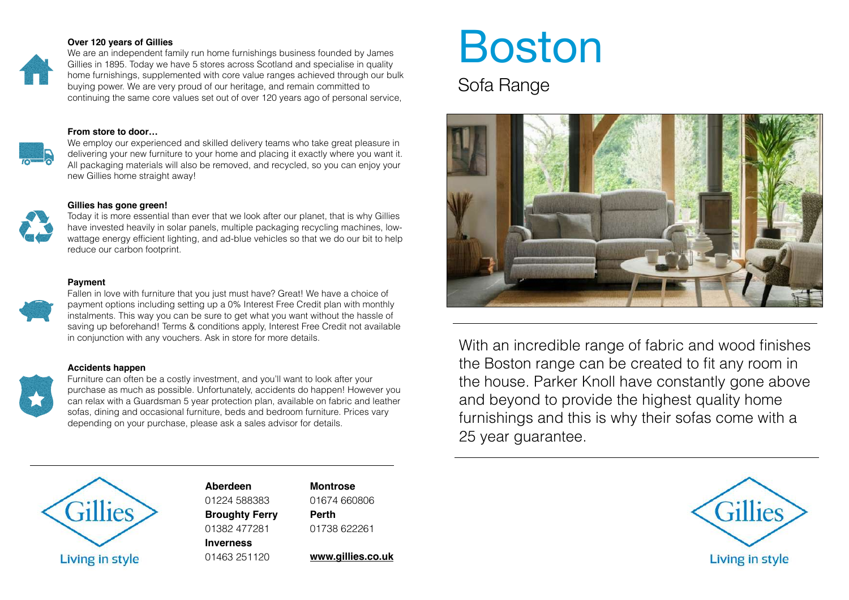#### **Over 120 years of Gillies**

We are an independent family run home furnishings business founded by James Gillies in 1895. Today we have 5 stores across Scotland and specialise in quality home furnishings, supplemented with core value ranges achieved through our bulk buying power. We are very proud of our heritage, and remain committed to continuing the same core values set out of over 120 years ago of personal service,

#### **From store to door…**



We employ our experienced and skilled delivery teams who take great pleasure in delivering your new furniture to your home and placing it exactly where you want it. All packaging materials will also be removed, and recycled, so you can enjoy your new Gillies home straight away!

#### **Gillies has gone green!**

Today it is more essential than ever that we look after our planet, that is why Gillies have invested heavily in solar panels, multiple packaging recycling machines, lowwattage energy efficient lighting, and ad-blue vehicles so that we do our bit to help reduce our carbon footprint.

#### **Payment**



Fallen in love with furniture that you just must have? Great! We have a choice of payment options including setting up a 0% Interest Free Credit plan with monthly instalments. This way you can be sure to get what you want without the hassle of saving up beforehand! Terms & conditions apply, Interest Free Credit not available in conjunction with any vouchers. Ask in store for more details.

#### **Accidents happen**



Furniture can often be a costly investment, and you'll want to look after your purchase as much as possible. Unfortunately, accidents do happen! However you can relax with a Guardsman 5 year protection plan, available on fabric and leather sofas, dining and occasional furniture, beds and bedroom furniture. Prices vary depending on your purchase, please ask a sales advisor for details.

# Boston

### Sofa Range



With an incredible range of fabric and wood finishes the Boston range can be created to fit any room in the house. Parker Knoll have constantly gone above and beyond to provide the highest quality home furnishings and this is why their sofas come with a 25 year guarantee.



**Aberdeen**  01224 588383 **Broughty Ferry**  01382 477281

**Inverness**  01463 251120 **Montrose**  01674 660806 **Perth**  01738 622261

**[www.gillies.co.uk](http://www.gillies.co.uk)**